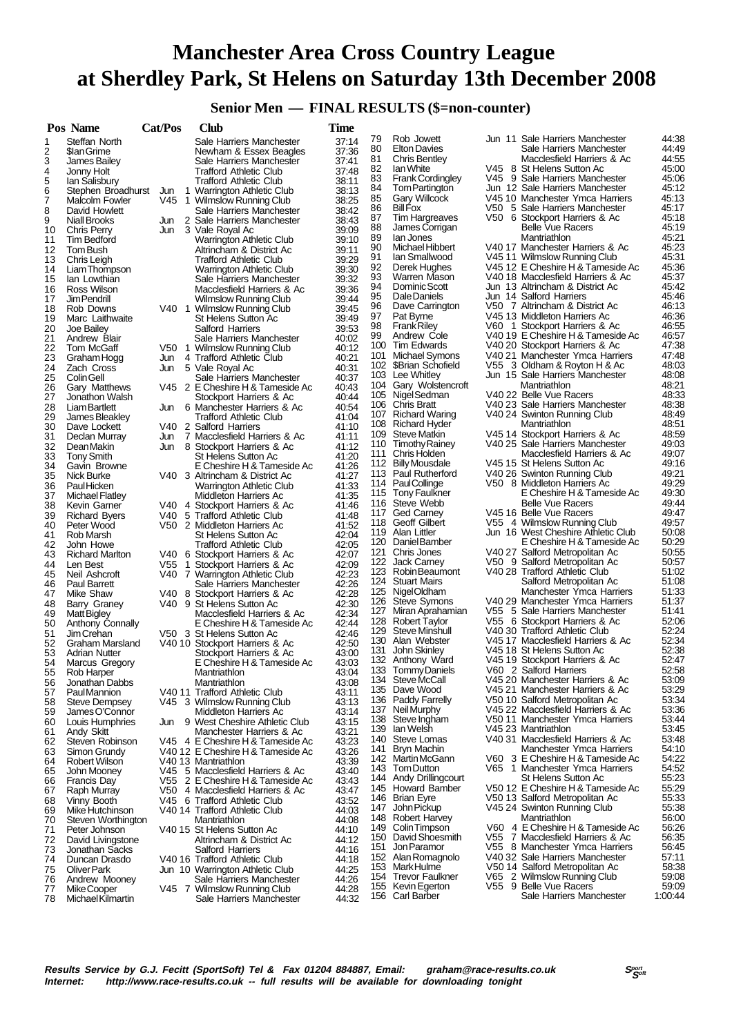# **Manchester Area Cross Country League at Sherdley Park, St Helens on Saturday 13th December 2008**

### **Senior Men — FINAL RESULTS (\$=non-counter)**

|          | Pos Name                                      | Cat/Pos | Club                                                           | Time           |            |                                       |      |                                                                      |                |
|----------|-----------------------------------------------|---------|----------------------------------------------------------------|----------------|------------|---------------------------------------|------|----------------------------------------------------------------------|----------------|
| 1        | Steffan North                                 |         | Sale Harriers Manchester                                       | 37:14          | 79         | Rob Jowett                            |      | Jun 11 Sale Harriers Manchester                                      | 44:38          |
| 2        | \$lan Grime                                   |         | Newham & Essex Beagles                                         | 37:36          | 80         | <b>Elton Davies</b>                   |      | Sale Harriers Manchester                                             | 44.49          |
| 3        | James Bailey                                  |         | Sale Harriers Manchester                                       | 37:41          | 81         | Chris Bentley                         |      | Macclesfield Harriers & Ac                                           | 44:55          |
| 4        | Jonny Holt                                    |         | <b>Trafford Athletic Club</b>                                  | 37:48          | 82<br>83   | lan White<br><b>Frank Cordingley</b>  |      | V45 8 St Helens Sutton Ac<br>V45 9 Sale Harriers Manchester          | 45:00<br>45.06 |
| 5        | lan Salisbury                                 |         | Trafford Athletic Club                                         | 38:11          | 84         | Tom Partington                        |      | Jun 12 Sale Harriers Manchester                                      | 45:12          |
| 6<br>7   | Stephen Broadhurst                            |         | Jun 1 Warrington Athletic Club                                 | 38:13<br>38:25 | 85         | <b>Gary Willcock</b>                  |      | V45 10 Manchester Ymca Harriers                                      | 45:13          |
| 8        | Malcolm Fowler<br>David Howlett               |         | V45 1 Wilmslow Running Club<br>Sale Harriers Manchester        | 38:42          | 86         | <b>Bill Fox</b>                       | V50  | 5 Sale Harriers Manchester                                           | 45:17          |
| 9        | <b>Niall Brooks</b>                           |         | Jun 2 Sale Harriers Manchester                                 | 38:43          | 87         | Tim Hargreaves                        | V50. | 6 Stockport Harriers & Ac                                            | 45:18          |
| 10       | Chris Perry                                   | Jun     | 3 Vale Royal Ac                                                | 39:09          | 88         | James Corrigan                        |      | <b>Belle Vue Racers</b>                                              | 45:19          |
| 11       | Tim Bedford                                   |         | Warrington Athletic Club                                       | 39:10          | 89         | lan Jones                             |      | Mantriathlon                                                         | 45:21          |
| 12       | Tom Bush                                      |         | Altrincham & District Ac                                       | 39:11          | 90         | Michael Hibbert                       |      | V40 17 Manchester Harriers & Ac                                      | 45:23          |
| 13       | Chris Leigh                                   |         | <b>Trafford Athletic Club</b>                                  | 39:29          | 91         | Ian Smallwood                         |      | V45 11 Wilmslow Running Club                                         | 45:31          |
| 14       | Liam Thompson                                 |         | Warrington Athletic Club                                       | 39:30          | 92         | Derek Hughes                          |      | V45 12 E Cheshire H & Tameside Ac                                    | 45:36          |
| 15       | lan Lowthian                                  |         | Sale Harriers Manchester                                       | 39:32          | 93<br>94   | Warren Mason<br>Dominic Scott         |      | V40 18 Macclesfield Harriers & Ac<br>Jun 13 Altrincham & District Ac | 45:37<br>45.42 |
| 16       | Ross Wilson                                   |         | Macclesfield Harriers & Ac                                     | 39:36          | 95         | Dale Daniels                          |      | Jun 14 Salford Harriers                                              | 45:46          |
| 17<br>18 | Jim Pendrill<br>Rob Downs                     |         | <b>Wilmslow Running Club</b><br>V40 1 Wilmslow Running Club    | 39:44<br>39:45 | 96         | Dave Carrington                       |      | V50 7 Altrincham & District Ac                                       | 46:13          |
| 19       | Marc Laithwaite                               |         | St Helens Sutton Ac                                            | 39:49          | 97         | Pat Byrne                             |      | V45 13 Middleton Harriers Ac                                         | 46:36          |
| 20       | Joe Bailey                                    |         | Salford Harriers                                               | 39:53          | 98         | <b>Frank Riley</b>                    |      | V60 1 Stockport Harriers & Ac                                        | 46:55          |
| 21       | Andrew Blair                                  |         | Sale Harriers Manchester                                       | 40:02          | 99         | Andrew Cole                           |      | V40 19 E Cheshire H & Tameside Ac                                    | 46:57          |
| 22       | Tom McGaff                                    | V50 1   | Wilmslow Running Club                                          | 40:12          |            | 100 Tim Edwards                       |      | V40 20 Stockport Harriers & Ac                                       | 47:38          |
| 23       | Graham Hogg                                   | Jun     | 4 Trafford Athletic Club                                       | 40:21          | 101        | <b>Michael Symons</b>                 |      | V40 21 Manchester Ymca Harriers                                      | 47:48          |
| 24       | Zach Cross                                    |         | Jun 5 Vale Roval Ac                                            | 40:31          | 102        | \$Brian Schofield                     |      | V55 3 Oldham & Royton H & Ac                                         | 48:03          |
| 25       | <b>Colin Gell</b>                             |         | Sale Harriers Manchester                                       | 40:37          |            | 103 Lee Whitley                       |      | Jun 15 Sale Harriers Manchester                                      | 48:08          |
| 26       | Gary Matthews                                 |         | V45 2 E Cheshire H & Tameside Ac                               | 40:43          | 104        | Gary Wolstencroft<br>105 Nigel Sedman |      | Mantriathlon<br>V40 22 Belle Vue Racers                              | 48:21<br>48:33 |
| 27       | Jonathon Walsh                                |         | Stockport Harriers & Ac                                        | 40:44          |            | 106 Chris Bratt                       |      | V40 23 Sale Harriers Manchester                                      | 48:38          |
| 28       | Liam Bartlett                                 | Jun     | 6 Manchester Harriers & Ac                                     | 40:54          |            | 107 Richard Waring                    |      | V40 24 Swinton Running Club                                          | 48:49          |
| 29<br>30 | James Bleakley<br>Dave Lockett                |         | <b>Trafford Athletic Club</b><br>V40 2 Salford Harriers        | 41:04<br>41:10 | 108        | Richard Hyder                         |      | Mantriathlon                                                         | 48:51          |
| 31       | Declan Murray                                 | Jun     | 7 Macclesfield Harriers & Ac                                   | 41:11          |            | 109 Steve Matkin                      |      | V45 14 Stockport Harriers & Ac                                       | 48:59          |
| 32       | Dean Makin                                    | Jun     | 8 Stockport Harriers & Ac                                      | 41:12          |            | 110 Timothy Rainey                    |      | V40 25 Sale Harriers Manchester                                      | 49:03          |
| 33       | <b>Tony Smith</b>                             |         | St Helens Sutton Ac                                            | 41:20          | 111        | Chris Holden                          |      | Macclesfield Harriers & Ac                                           | 49:07          |
| 34       | Gavin Browne                                  |         | E Cheshire H & Tameside Ac                                     | 41:26          | 112        | <b>Billy Mousdale</b>                 |      | V45 15 St Helens Sutton Ac                                           | 49:16          |
| 35       | Nick Burke                                    |         | V40 3 Altrincham & District Ac                                 | 41:27          |            | 113 Paul Rutherford                   |      | V40 26 Swinton Running Club                                          | 49:21          |
| 36       | <b>PaulHicken</b>                             |         | <b>Warrington Athletic Club</b>                                | 41:33          | 114        | PaulCollinge                          |      | V50 8 Middleton Harriers Ac                                          | 49:29          |
| 37       | Michael Flatley                               |         | Middleton Harriers Ac                                          | 41:35          |            | 115 Tony Faulkner                     |      | E Cheshire H & Tameside Ac                                           | 49:30          |
| 38       | Kevin Garner                                  |         | V40 4 Stockport Harriers & Ac                                  | 41:46          | 116        | Steve Webb                            |      | <b>Belle Vue Racers</b>                                              | 49.44<br>49:47 |
| 39       | <b>Richard Byers</b>                          |         | V40 5 Trafford Athletic Club                                   | 41:48          | 117        | Ged Carney<br>118 Geoff Gilbert       |      | V45 16 Belle Vue Racers<br>V55 4 Wilmslow Running Club               | 49:57          |
| 40       | Peter Wood                                    |         | V50 2 Middleton Harriers Ac                                    | 41:52          | 119        | Alan Littler                          |      | Jun 16 West Cheshire Athletic Club                                   | 50:08          |
| 41       | Rob Marsh                                     |         | St Helens Sutton Ac                                            | 42:04          | 120        | Daniel Bamber                         |      | E Cheshire H & Tameside Ac                                           | 50:29          |
| 42<br>43 | John Howe<br><b>Richard Marlton</b>           |         | <b>Trafford Athletic Club</b><br>V40 6 Stockport Harriers & Ac | 42:05<br>42:07 | 121        | Chris Jones                           |      | V40 27 Salford Metropolitan Ac                                       | 50:55          |
| 44       | Len Best                                      | V55 1   | Stockport Harriers & Ac                                        | 42:09          | 122        | <b>Jack Carney</b>                    |      | V50 9 Salford Metropolitan Ac                                        | 50:57          |
| 45       | Neil Ashcroft                                 |         | V40 7 Warrington Athletic Club                                 | 42:23          | 123        | Robin Beaumont                        |      | V40 28 Trafford Athletic Club                                        | 51:02          |
| 46       | Paul Barrett                                  |         | Sale Harriers Manchester                                       | 42:26          |            | 124 Stuart Mairs                      |      | Salford Metropolitan Ac                                              | 51:08          |
| 47       | Mike Shaw                                     |         | V40 8 Stockport Harriers & Ac                                  | 42:28          |            | 125 NigelOldham                       |      | Manchester Ymca Harriers                                             | 51:33          |
| 48       | Barry Graney                                  |         | V40 9 St Helens Sutton Ac                                      | 42:30          | 126        | Steve Symons                          |      | V40 29 Manchester Ymca Harriers                                      | 51:37          |
| 49       | Matt Bigley                                   |         | Macclesfield Harriers & Ac                                     | 42:34          |            | 127 Miran Aprahamian                  |      | V55 5 Sale Harriers Manchester                                       | 51:41          |
| 50       | Anthony Connally                              |         | E Cheshire H & Tameside Ac                                     | 42:44          | 129        | 128 Robert Taylor<br>Steve Minshull   |      | V55 6 Stockport Harriers & Ac<br>V40 30 Trafford Athletic Club       | 52:06<br>52:24 |
| 51       | Jim Crehan                                    |         | V50 3 St Helens Sutton Ac                                      | 42:46          |            | 130 Alan Webster                      |      | V45 17 Macclesfield Harriers & Ac                                    | 52:34          |
| 52<br>53 | Graham Marsland<br><b>Adrian Nutter</b>       |         | V40 10 Stockport Harriers & Ac                                 | 42:50<br>43:00 | 131        | John Skinley                          |      | V45 18 St Helens Sutton Ac                                           | 52:38          |
| 54       | Marcus Gregory                                |         | Stockport Harriers & Ac<br>E Cheshire H & Tameside Ac          | 43:03          |            | 132 Anthony Ward                      |      | V45 19 Stockport Harriers & Ac                                       | 52:47          |
| 55       | Rob Harper                                    |         | Mantriathlon                                                   | 43:04          |            | 133 Tommy Daniels                     |      | V60 2 Salford Harriers                                               | 52:58          |
| 56       | Jonathan Dabbs                                |         | Mantriathlon                                                   | 43:08          | 134        | Steve McCall                          |      | V45 20 Manchester Harriers & Ac                                      | 53:09          |
| 57       | PaulMannion                                   |         | V40 11 Trafford Athletic Club                                  | 43:11          | 135        | Dave Wood                             |      | V45 21 Manchester Harriers & Ac                                      | 53:29          |
| 58       | <b>Steve Dempsey</b>                          |         | V45 3 Wilmslow Running Club                                    | 43:13          | 136        | Paddy Farrelly                        |      | V50 10 Salford Metropolitan Ac                                       | 53:34          |
| 59       | James O'Connor                                |         | Middleton Harriers Ac                                          | 43:14          | 137        | Neil Murphy                           |      | V45 22 Macclesfield Harriers & Ac                                    | 53:36          |
| 60       | Louis Humphries                               |         | Jun 9 West Cheshire Athletic Club                              | 43:15          | 138        | Steve Ingham                          |      | V50 11 Manchester Ymca Harriers                                      | 53:44          |
| 61       | Andy Skitt                                    |         | Manchester Harriers & Ac                                       | 43:21          | 139        | lan Welsh<br>Steve Lomas              |      | V45 23 Mantriathlon                                                  | 53:45<br>53:48 |
| 62       | Steven Robinson                               |         | V45 4 E Cheshire H & Tameside Ac                               | 43:23          | 140<br>141 | Bryn Machin                           |      | V40 31 Macclesfield Harriers & Ac<br>Manchester Ymca Harriers        | 54:10          |
| 63       | Simon Grundy<br>Robert Wilson                 |         | V40 12 E Cheshire H & Tameside Ac                              | 43:26          | 142        | Martin McGann                         |      | V60 3 E Cheshire H & Tameside Ac                                     | 54:22          |
| 64<br>65 | John Mooney                                   |         | V40 13 Mantriathlon<br>V45 5 Macclesfield Harriers & Ac        | 43:39<br>43:40 |            | 143 Tom Dutton                        |      | V65 1 Manchester Ymca Harriers                                       | 54:52          |
| 66       | Francis Day                                   |         | V55 2 E Cheshire H & Tameside Ac                               | 43:43          | 144        | Andy Drillingcourt                    |      | St Helens Sutton Ac                                                  | 55:23          |
| 67       | Raph Murray                                   | V50     | 4 Macclesfield Harriers & Ac                                   | 43:47          | 145        | Howard Bamber                         |      | V50 12 E Cheshire H & Tameside Ac                                    | 55:29          |
| 68       | Vinny Booth                                   |         | V45 6 Trafford Athletic Club                                   | 43:52          | 146        | <b>Brian Eyre</b>                     |      | V50 13 Salford Metropolitan Ac                                       | 55:33          |
| 69       | Mike Hutchinson                               |         | V40 14 Trafford Athletic Club                                  | 44:03          | 147        | John Pickup                           |      | V45 24 Swinton Running Club                                          | 55:38          |
| 70       | Steven Worthington                            |         | Mantriathlon                                                   | 44:08          | 148        | Robert Harvey                         |      | Mantriathlon                                                         | 56:00          |
| 71       | Peter Johnson                                 |         | V40 15 St Helens Sutton Ac                                     | 44:10          | 149        | Colin Timpson                         |      | V60 4 E Cheshire H & Tameside Ac                                     | 56:26          |
| 72       | David Livingstone                             |         | Altrincham & District Ac                                       | 44:12          | 150        | David Shoesmith                       |      | V55 7 Macclesfield Harriers & Ac                                     | 56:35          |
| 73       | Jonathan Sacks                                |         | <b>Salford Harriers</b>                                        | 44:16          | 151        | Jon Paramor                           |      | V55 8 Manchester Ymca Harriers                                       | 56:45          |
| 74       | Duncan Drasdo                                 |         | V40 16 Trafford Athletic Club                                  | 44:18          | 152        | Alan Romagnolo                        |      | V40 32 Sale Harriers Manchester<br>V50 14 Salford Metropolitan Ac    | 57:11<br>58:38 |
| 75       | Oliver Park                                   |         | Jun 10 Warrington Athletic Club                                | 44:25          | 153<br>154 | MarkHulme<br><b>Trevor Faulkner</b>   |      | V65 2 Wilmslow Running Club                                          | 59:08          |
| 76       | Andrew Mooney                                 |         | Sale Harriers Manchester                                       | 44:26          | 155        | Kevin Egerton                         |      | V55 9 Belle Vue Racers                                               | 59:09          |
| 77<br>78 | <b>MikeCooper</b><br><b>Michael Kilmartin</b> |         | V45 7 Wilmslow Running Club<br>Sale Harriers Manchester        | 44:28<br>44:32 |            | 156 Carl Barber                       |      | Sale Harriers Manchester                                             | 1:00:44        |
|          |                                               |         |                                                                |                |            |                                       |      |                                                                      |                |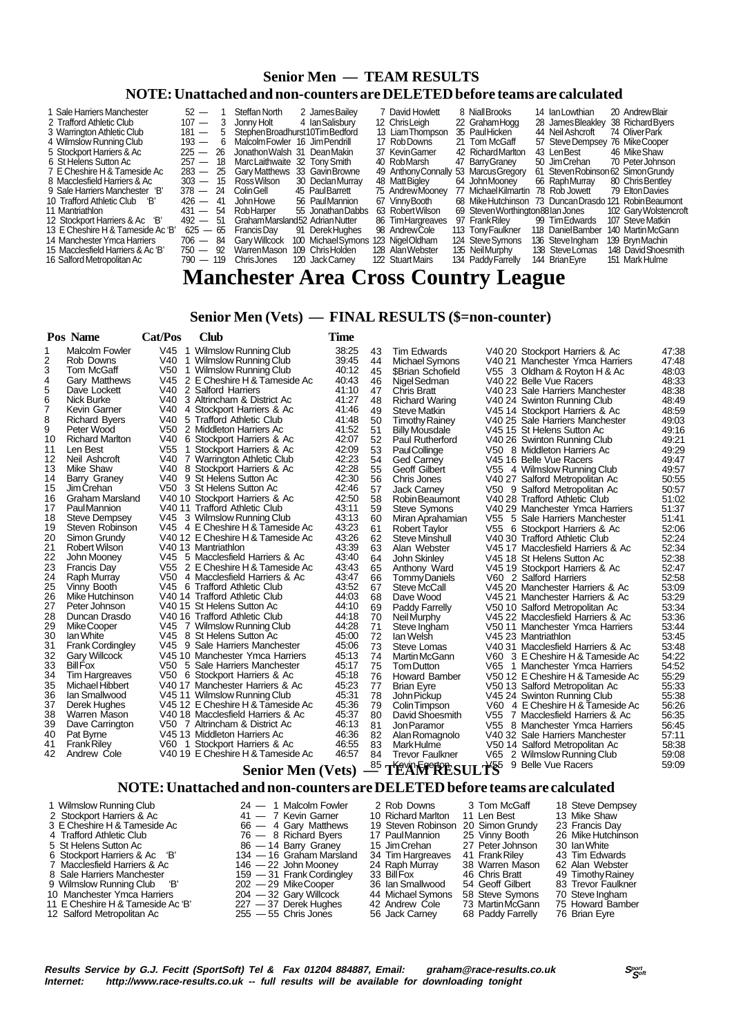### **Senior Men — TEAM RESULTS**

#### **NOTE: Unattached and non-counters are DELETED before teams are calculated**

| 1 Sale Harriers Manchester<br>2 Trafford Athletic Club | $52 -$<br>$107 -$ |      | Steffan North<br>Jonny Holt       |     | 2 James Bailev<br>4 Ian Salisbury | 7 David Howlett<br>12 ChrisLeigh | 8 Niall Brooks<br>22 Graham Hogg   | 14 IanLowthian<br>28 James Bleakley | 20 Andrew Blair<br>38 Richard Byers |
|--------------------------------------------------------|-------------------|------|-----------------------------------|-----|-----------------------------------|----------------------------------|------------------------------------|-------------------------------------|-------------------------------------|
| 3 Warrington Athletic Club                             | $181 -$           | 5    | Stephen Broadhurst 10 Tim Bedford |     |                                   | 13 Liam Thompson                 | 35 PaulHicken                      | 44 Neil Ashcroft                    | 74 OliverPark                       |
| 4 Wilmslow Running Club                                | $193 -$           | - 6  | Malcolm Fowler 16 Jim Pendrill    |     |                                   | 17 Rob Downs                     | 21 Tom McGaff                      | 57 Steve Dempsey                    | 76 MikeCooper                       |
| 5 Stockport Harriers & Ac                              | $225 - 26$        |      | Jonathon Walsh 31 Dean Makin      |     |                                   | 37 KevinGamer                    | 42 Richard Marlton                 | 43 LenBest                          | 46 Mike Shaw                        |
| 6 St Helens Sutton Ac                                  | $257 -$           | - 18 | MarcLaithwaite 32 Tony Smith      |     |                                   | 40 RobMarsh                      | 47 Barry Graney                    | 50 Jim Crehan                       | 70 PeterJohnson                     |
| 7 E Cheshire H & Tameside Ac                           | $283 -$           | - 25 | <b>Gary Matthews</b>              |     | 33 Gavin Browne                   | 49 Anthony Connally              | 53 Marcus Gregory                  | 61 Steven Robinson 62 Simon Grundy  |                                     |
| 8 Macclesfield Harriers & Ac                           | $303 - 15$        |      | Ross Wilson                       |     | 30 Declan Murray                  | 48 MattBigley                    | 64 John Mooney                     | 66 RaphMurrav                       | 80 Chris Bentley                    |
| 9 Sale Harriers Manchester 'B'                         | $378 - 24$        |      | ColinGell                         |     | 45 PaulBarrett                    | 75 Andrew Mooney                 | 77 Michael Kilmartin               | 78 Rob Jowett                       | 79 Elton Davies                     |
| 10 Trafford Athletic Club 'B'                          | $426 - 41$        |      | John Howe                         |     | 56 PaulMannion                    | 67 Vinny Booth                   | 68 Mike Hutchinson                 |                                     | 73 Duncan Drasdo 121 Robin Beaumont |
| 11 Mantriathlon                                        | $431 - 54$        |      | RobHarper                         |     | 55 Jonathan Dabbs                 | 63 Robert Wilson                 | 69 Steven Worthington 88 Ian Jones |                                     | 102 Gary Wolstencroft               |
| 12 Stockport Harriers & Ac 'B'                         | $492 -$           | -51  | Graham Marsland 52 Adrian Nutter  |     |                                   | 86 Tim Hargreaves                | 97 Frank Riley                     | 99 Tim Edwards                      | 107 Steve Matkin                    |
| 13 E Cheshire H & Tameside Ac 'B'                      | $625 - 65$        |      | Francis Dav                       | 91  | Derek Hughes                      | 98 AndrewCole                    | 113 Tony Faulkner                  | 118 Daniel Bamber                   | 140 MartinMcGann                    |
| 14 Manchester Ymca Harriers                            | $706 -$           | -84  | <b>Gary Willcock</b>              | 100 | Michael Symons 123 Nigel Oldham   |                                  | 124 Steve Symons                   | 136 Steve Ingham                    | 139 Bryn Machin                     |
| 15 Macclesfield Harriers & Ac 'B'                      | 750 —             | - 92 | Warren Mason                      |     | 109 Chris Holden                  | 128 Alan Webster                 | 135 Neil Murphy                    | 138 Steve Lomas                     | 148 David Shoesmith                 |
| 16 Salford Metropolitan Ac                             | $790 - 119$       |      | Chris Jones                       |     | 120 Jack Carnev                   | 122 Stuart Mairs                 | 134 Paddy Farrelly                 | 144 Brian Eyre                      | 151 Mark Hulme                      |
|                                                        |                   |      |                                   |     |                                   | $\sim$                           |                                    |                                     |                                     |

## **Manchester Area Cross Country League**

#### **Senior Men (Vets) — FINAL RESULTS (\$=non-counter)**

|                | Pos Name                | Cat/Pos | Club                              | Time  |    |                        |                                   |       |
|----------------|-------------------------|---------|-----------------------------------|-------|----|------------------------|-----------------------------------|-------|
| 1              | <b>Malcolm Fowler</b>   |         | V45 1 Wilmslow Running Club       | 38:25 | 43 | <b>Tim Edwards</b>     | V40 20 Stockport Harriers & Ac    | 47:38 |
| 2              | Rob Downs               |         | V40 1 Wilmslow Running Club       | 39:45 | 44 | <b>Michael Symons</b>  | V40 21 Manchester Ymca Harriers   | 47:48 |
| 3              | Tom McGaff              |         | V50 1 Wilmslow Running Club       | 40:12 | 45 | \$Brian Schofield      | V55 3 Oldham & Royton H & Ac      | 48:03 |
| 4              | Gary Matthews           |         | V45 2 E Cheshire H & Tameside Ac  | 40:43 | 46 | Nigel Sedman           | V40 22 Belle Vue Racers           | 48:33 |
| 5              | Dave Lockett            |         | V40 2 Salford Harriers            | 41:10 | 47 | <b>Chris Bratt</b>     | V40 23 Sale Harriers Manchester   | 48:38 |
| 6              | Nick Burke              |         | V40 3 Altrincham & District Ac    | 41:27 | 48 | <b>Richard Waring</b>  | V40 24 Swinton Running Club       | 48:49 |
| $\overline{7}$ | Kevin Garner            |         | V40 4 Stockport Harriers & Ac     | 41:46 | 49 | <b>Steve Matkin</b>    | V45 14 Stockport Harriers & Ac    | 48:59 |
| 8              | <b>Richard Byers</b>    |         | V40 5 Trafford Athletic Club      | 41:48 | 50 | <b>Timothy Rainey</b>  | V40 25 Sale Harriers Manchester   | 49:03 |
| 9              | Peter Wood              |         | V50 2 Middleton Harriers Ac       | 41:52 | 51 | <b>Billy Mousdale</b>  | V45 15 St Helens Sutton Ac        | 49:16 |
| 10             | <b>Richard Marlton</b>  |         | V40 6 Stockport Harriers & Ac     | 42:07 | 52 | Paul Rutherford        | V40 26 Swinton Running Club       | 49:21 |
| 11             | Len Best                |         | V55 1 Stockport Harriers & Ac     | 42:09 | 53 | PaulCollinge           | V50 8 Middleton Harriers Ac       | 49:29 |
| 12             | Neil Ashcroft           |         | V40 7 Warrington Athletic Club    | 42:23 | 54 | Ged Carney             | V45 16 Belle Vue Racers           | 49:47 |
| 13             | Mike Shaw               |         | V40 8 Stockport Harriers & Ac     | 42:28 | 55 | Geoff Gilbert          | V55 4 Wilmslow Running Club       | 49:57 |
| 14             | Barry Graney            |         | V40 9 St Helens Sutton Ac         | 42:30 | 56 | Chris Jones            | V40 27 Salford Metropolitan Ac    | 50:55 |
| 15             | Jim Crehan              |         | V50 3 St Helens Sutton Ac         | 42:46 | 57 | <b>Jack Carney</b>     | V50 9 Salford Metropolitan Ac     | 50:57 |
| 16             | <b>Graham Marsland</b>  |         | V40 10 Stockport Harriers & Ac    | 42:50 | 58 | Robin Beaumont         | V40 28 Trafford Athletic Club     | 51:02 |
| 17             | <b>PaulMannion</b>      |         | V40 11 Trafford Athletic Club     | 43:11 | 59 | <b>Steve Symons</b>    | V40 29 Manchester Ymca Harriers   | 51:37 |
| 18             | <b>Steve Dempsey</b>    |         | V45 3 Wilmslow Running Club       | 43:13 | 60 | Miran Aprahamian       | V55 5 Sale Harriers Manchester    | 51:41 |
| 19             | Steven Robinson         |         | V45 4 E Cheshire H & Tameside Ac  | 43:23 | 61 | <b>Robert Taylor</b>   | V55 6 Stockport Harriers & Ac     | 52:06 |
| 20             | Simon Grundy            |         | V40 12 E Cheshire H & Tameside Ac | 43:26 | 62 | <b>Steve Minshull</b>  | V40 30 Trafford Athletic Club     | 52:24 |
| 21             | Robert Wilson           |         | V40 13 Mantriathlon               | 43:39 | 63 | Alan Webster           | V45 17 Macclesfield Harriers & Ac | 52:34 |
| 22             | John Mooney             |         | V45 5 Macclesfield Harriers & Ac  | 43:40 | 64 | John Skinley           | V45 18 St Helens Sutton Ac        | 52:38 |
| 23             | Francis Day             |         | V55 2 E Cheshire H & Tameside Ac  | 43:43 | 65 | Anthony Ward           | V45 19 Stockport Harriers & Ac    | 52:47 |
| 24             | Raph Murray             |         | V50 4 Macclesfield Harriers & Ac  | 43:47 | 66 | Tommy Daniels          | V60 2 Salford Harriers            | 52:58 |
| 25             | Vinny Booth             |         | V45 6 Trafford Athletic Club      | 43:52 | 67 | Steve McCall           | V45 20 Manchester Harriers & Ac   | 53:09 |
| 26             | Mike Hutchinson         |         | V40 14 Trafford Athletic Club     | 44:03 | 68 | Dave Wood              | V45 21 Manchester Harriers & Ac   | 53:29 |
| 27             | Peter Johnson           |         | V40 15 St Helens Sutton Ac        | 44:10 | 69 | Paddy Farrelly         | V50 10 Salford Metropolitan Ac    | 53:34 |
| 28             | Duncan Drasdo           |         | V40 16 Trafford Athletic Club     | 44:18 | 70 | Neil Murphy            | V45 22 Macclesfield Harriers & Ac | 53:36 |
| 29             | Mike Cooper             |         | V45 7 Wilmslow Running Club       | 44:28 | 71 | Steve Ingham           | V50 11 Manchester Ymca Harriers   | 53:44 |
| 30             | lan White               |         | V45 8 St Helens Sutton Ac         | 45:00 | 72 | lan Welsh              | V45 23 Mantriathlon               | 53:45 |
| 31             | <b>Frank Cordingley</b> |         | V45 9 Sale Harriers Manchester    | 45:06 | 73 | Steve Lomas            | V40 31 Macclesfield Harriers & Ac | 53:48 |
| 32             | <b>Gary Willcock</b>    |         | V45 10 Manchester Ymca Harriers   | 45:13 | 74 | Martin McGann          | V60 3 E Cheshire H & Tameside Ac  | 54:22 |
| 33             | <b>Bill Fox</b>         |         | V50 5 Sale Harriers Manchester    | 45:17 | 75 | Tom Dutton             | V65 1 Manchester Ymca Harriers    | 54:52 |
| 34             | <b>Tim Hargreaves</b>   |         | V50 6 Stockport Harriers & Ac     | 45:18 | 76 | Howard Bamber          | V50 12 E Cheshire H & Tameside Ac | 55:29 |
| 35             | Michael Hibbert         |         | V40 17 Manchester Harriers & Ac   | 45:23 | 77 | <b>Brian Eyre</b>      | V50 13 Salford Metropolitan Ac    | 55.33 |
| 36             | Ian Smallwood           |         | V45 11 Wilmslow Running Club      | 45:31 | 78 | John Pickup            | V45 24 Swinton Running Club       | 55:38 |
| 37             | Derek Hughes            |         | V45 12 E Cheshire H & Tameside Ac | 45:36 | 79 | Colin Timpson          | V60 4 E Cheshire H & Tameside Ac  | 56:26 |
| 38             | Warren Mason            |         | V40 18 Macclesfield Harriers & Ac | 45:37 | 80 | David Shoesmith        | V55 7 Macclesfield Harriers & Ac  | 56:35 |
| 39             | Dave Carrington         |         | V50 7 Altrincham & District Ac    | 46:13 | 81 | Jon Paramor            | V55 8 Manchester Ymca Harriers    | 56:45 |
| 40             | Pat Byrne               |         | V45 13 Middleton Harriers Ac      | 46:36 | 82 | Alan Romagnolo         | V40 32 Sale Harriers Manchester   | 57:11 |
| 41             | <b>Frank Riley</b>      |         | V60 1 Stockport Harriers & Ac     | 46:55 | 83 | Mark Hulme             | V50 14 Salford Metropolitan Ac    | 58:38 |
| 42             | Andrew Cole             |         | V40 19 E Cheshire H & Tameside Ac | 46:57 | 84 | <b>Trevor Faulkner</b> | V65 2 Wilmslow Running Club       | 59:08 |
|                |                         |         | <b>Senior Men (Vets)</b>          |       |    | 85 TEAM RESULTS        | 9 Belle Vue Racers                | 59:09 |
|                |                         |         |                                   |       |    |                        |                                   |       |

#### **NOTE: Unattached and non-counters are DELETED before teams are calculated**

 1 Wilmslow Running Club 24 — 1 Malcolm Fowler 2 Rob Downs 3 Tom McGaff 18 Steve Dempsey 2 Stockport Harriers & Ac  $41 - 7$  Kevin Garner 10 Richard Marlton 11 Len Best 13 Mike Shaw 2 Stockport Harriers 8. Ac 2 - 2 Nevin Garner 20 Nichard Martion 11 Len Best 13 Mike Shaw<br>3 E Cheshire H & Tameside Ac 2 - 4 Gary Matthews 19 Steven Robinson 20 Simon Grundy 23 Francis Day<br>4 Trafford Athletic Club 76 - 8 R 4 Trafford Athletic Club 76 — 8 Richard Byers 17 Paul Mannion 25 Vinny Booth 26 Mike Hutchins 30 Mike Hutchinson<br>5 St Helens Sutton Ac 86 — 14 Barry Graney 15 Jim Crehan 27 Peter Johnson 30 lan White<br>6 Stockport Harriers & 6 Stockport Harriers & Ac 'B' 134 — 16 Graham Marsland 34 Tim Hargreaves 41 Frank Riley 43 Tim Edwards 8 Sale Harriers Manchester 159 — 31 Frank Cordingley 33 Bill Fox 46 Chris Bratt 49 Timothy Rainey 9 Wilmslow Running Club 'B' 202 — 29 Mike Cooper 36 Ian Smallwood 54 Geoff Gilbert 83 Trevor Faulkner 10 Manchester Ymca Harriers 204 — 32 Gary Willcock 34 Michael Symons 58 Steve Symons 70 Steve Ingham<br>11 E Cheshire H & Tameside Ac 'B' 227 — 37 Derek Hughes 42 Andrew Cole 73 Martin McGann 75 Howard Bamber<br>12 Salford Metro 11 E Cheshire H & Tameside Ac 'B' 227 - 37 Derek Hughes 42 Andrew Cole<br>12 Salford Metropolitan Ac 255 - 55 Chris Jones 56 Jack Carney 12 Salford Metropolitan Ac

5 St Helens Sutton Active Sutton Active Helens Sutton Active Helens Sutton Active Helens Sutton Active Helens Su<br>134 — 16 Graham Marsland 34 Tim Hargreaves 41 Frank Riley 43 Tim Edwards 146 — 10 Grandin Warstand Grand Harriers (1998) — 11 Machines (1998) 24 Raph Murray 23 Warren Mason 62 Alan Webster<br>159 — 31 Frank Cordingley 33 Bill Fox 46 Chris Bratt 49 Timothy Rainey<br>202 — 29 Mike Cooper 36 Ian Smallwo